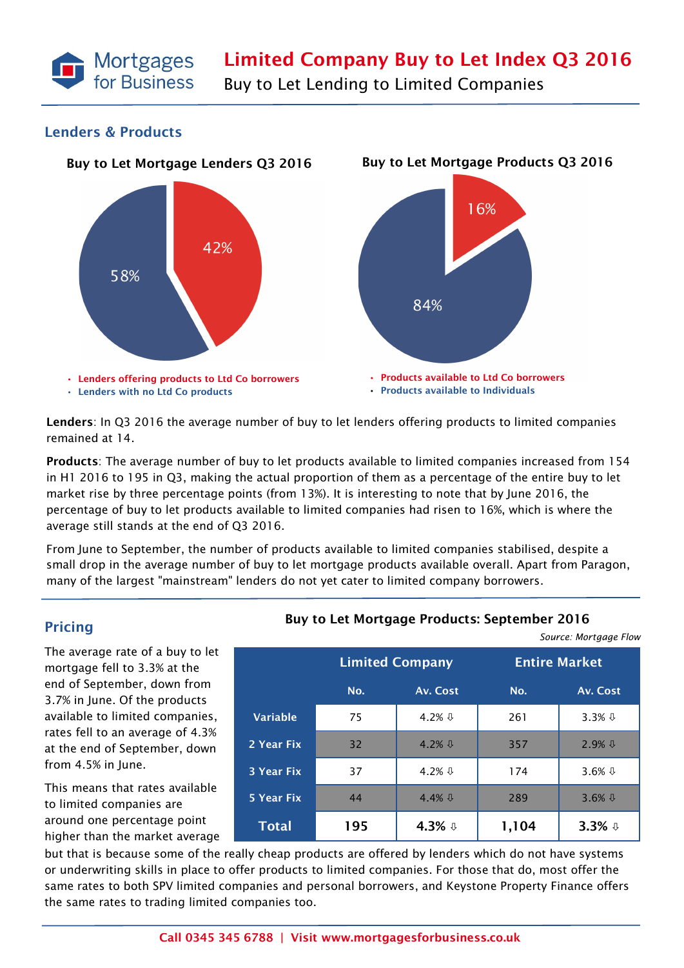

Buy to Let Lending to Limited Companies

### **Lenders & Products**



**Lenders**: In Q3 2016 the average number of buy to let lenders offering products to limited companies remained at 14.

**Products**: The average number of buy to let products available to limited companies increased from 154 in H1 2016 to 195 in Q3, making the actual proportion of them as a percentage of the entire buy to let market rise by three percentage points (from 13%). It is interesting to note that by June 2016, the percentage of buy to let products available to limited companies had risen to 16%, which is where the average still stands at the end of Q3 2016.

From June to September, the number of products available to limited companies stabilised, despite a small drop in the average number of buy to let mortgage products available overall. Apart from Paragon, many of the largest "mainstream" lenders do not yet cater to limited company borrowers.

# **Pricing**

The average rate of a buy to let mortgage fell to 3.3% at the end of September, down from 3.7% in June. Of the products available to limited companies, rates fell to an average of 4.3% at the end of September, down from 4.5% in June.

This means that rates available to limited companies are around one percentage point higher than the market average

### **Buy to Let Mortgage Products: September 2016**

*Source: Mortgage Flow*

|                   |                        |                 | $30$ and $100$ to $90$ and $100$ |                     |  |
|-------------------|------------------------|-----------------|----------------------------------|---------------------|--|
|                   | <b>Limited Company</b> |                 | <b>Entire Market</b>             |                     |  |
|                   | No.                    | Av. Cost        | No.                              | Av. Cost            |  |
| <b>Variable</b>   | 75                     | 4.2% $\sqrt{1}$ | 261                              | 3.3% $\sqrt{1}$     |  |
| 2 Year Fix        | 32 <sup>2</sup>        | 4.2% $\sqrt{1}$ | 357                              | $2.9%$ $\downarrow$ |  |
| <b>3 Year Fix</b> | 37                     | 4.2% $\sqrt{1}$ | 174                              | 3.6% $\sqrt{1}$     |  |
| 5 Year Fix        | 44                     | 4.4% $\sqrt{1}$ | 289                              | 3.6% $\sqrt{1}$     |  |
| <b>Total</b>      | 195                    | 4.3% $\sqrt{ }$ | 1,104                            | 3.3% $\sqrt{0}$     |  |

but that is because some of the really cheap products are offered by lenders which do not have systems or underwriting skills in place to offer products to limited companies. For those that do, most offer the same rates to both SPV limited companies and personal borrowers, and Keystone Property Finance offers the same rates to trading limited companies too.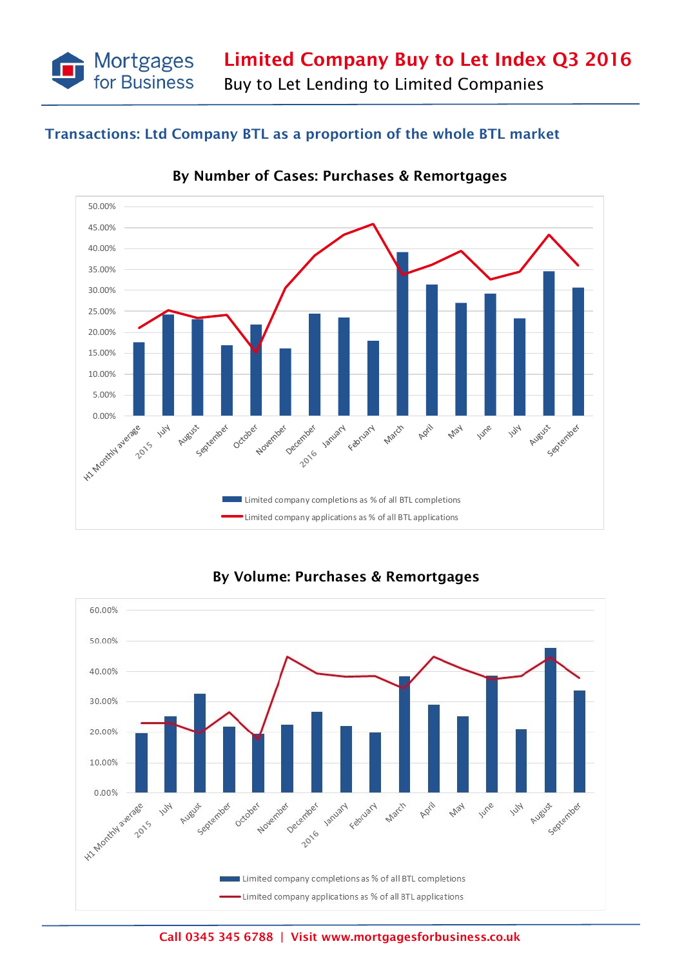**Limited Company Buy to Let Index Q3 2016**

Buy to Let Lending to Limited Companies

# **Transactions: Ltd Company BTL as a proportion of the whole BTL market**

Mortgages<br>for Business



**By Number of Cases: Purchases & Remortgages** 



## **By Volume: Purchases & Remortgages**